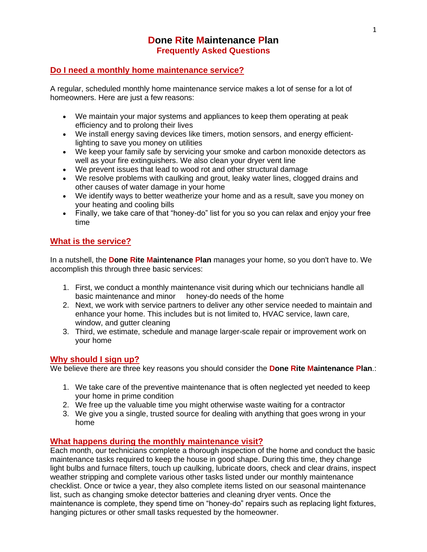# **Done Rite Maintenance Plan Frequently Asked Questions**

# **Do I need a monthly home maintenance service?**

A regular, scheduled monthly home maintenance service makes a lot of sense for a lot of homeowners. Here are just a few reasons:

- We maintain your major systems and appliances to keep them operating at peak efficiency and to prolong their lives
- We install energy saving devices like timers, motion sensors, and energy efficientlighting to save you money on utilities
- We keep your family safe by servicing your smoke and carbon monoxide detectors as well as your fire extinguishers. We also clean your dryer vent line
- We prevent issues that lead to wood rot and other structural damage
- We resolve problems with caulking and grout, leaky water lines, clogged drains and other causes of water damage in your home
- We identify ways to better weatherize your home and as a result, save you money on your heating and cooling bills
- Finally, we take care of that "honey-do" list for you so you can relax and enjoy your free time

# **What is the service?**

In a nutshell, the **Done Rite Maintenance Plan** manages your home, so you don't have to. We accomplish this through three basic services:

- 1. First, we conduct a monthly maintenance visit during which our technicians handle all basic maintenance and minor honey-do needs of the home
- 2. Next, we work with service partners to deliver any other service needed to maintain and enhance your home. This includes but is not limited to, HVAC service, lawn care, window, and gutter cleaning
- 3. Third, we estimate, schedule and manage larger-scale repair or improvement work on your home

## **Why should I sign up?**

We believe there are three key reasons you should consider the **Done Rite Maintenance Plan**.:

- 1. We take care of the preventive maintenance that is often neglected yet needed to keep your home in prime condition
- 2. We free up the valuable time you might otherwise waste waiting for a contractor
- 3. We give you a single, trusted source for dealing with anything that goes wrong in your home

# **What happens during the monthly maintenance visit?**

Each month, our technicians complete a thorough inspection of the home and conduct the basic maintenance tasks required to keep the house in good shape. During this time, they change light bulbs and furnace filters, touch up caulking, lubricate doors, check and clear drains, inspect weather stripping and complete various other tasks listed under our monthly maintenance checklist. Once or twice a year, they also complete items listed on our seasonal maintenance list, such as changing smoke detector batteries and cleaning dryer vents. Once the maintenance is complete, they spend time on "honey-do" repairs such as replacing light fixtures, hanging pictures or other small tasks requested by the homeowner.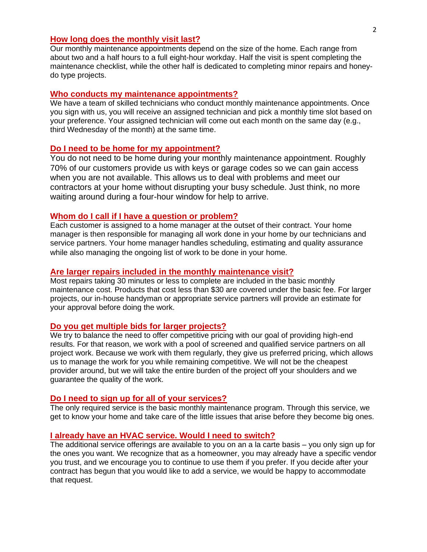## **How long does the monthly visit last?**

Our monthly maintenance appointments depend on the size of the home. Each range from about two and a half hours to a full eight-hour workday. Half the visit is spent completing the maintenance checklist, while the other half is dedicated to completing minor repairs and honeydo type projects.

### **Who conducts my maintenance appointments?**

We have a team of skilled technicians who conduct monthly maintenance appointments. Once you sign with us, you will receive an assigned technician and pick a monthly time slot based on your preference. Your assigned technician will come out each month on the same day (e.g., third Wednesday of the month) at the same time.

### **Do I need to be home for my appointment?**

You do not need to be home during your monthly maintenance appointment. Roughly 70% of our customers provide us with keys or garage codes so we can gain access when you are not available. This allows us to deal with problems and meet our contractors at your home without disrupting your busy schedule. Just think, no more waiting around during a four-hour window for help to arrive.

#### **Whom do I call if I have a question or problem?**

Each customer is assigned to a home manager at the outset of their contract. Your home manager is then responsible for managing all work done in your home by our technicians and service partners. Your home manager handles scheduling, estimating and quality assurance while also managing the ongoing list of work to be done in your home.

### **Are larger repairs included in the monthly maintenance visit?**

Most repairs taking 30 minutes or less to complete are included in the basic monthly maintenance cost. Products that cost less than \$30 are covered under the basic fee. For larger projects, our in-house handyman or appropriate service partners will provide an estimate for your approval before doing the work.

#### **Do you get multiple bids for larger projects?**

We try to balance the need to offer competitive pricing with our goal of providing high-end results. For that reason, we work with a pool of screened and qualified service partners on all project work. Because we work with them regularly, they give us preferred pricing, which allows us to manage the work for you while remaining competitive. We will not be the cheapest provider around, but we will take the entire burden of the project off your shoulders and we guarantee the quality of the work.

## **Do I need to sign up for all of your services?**

The only required service is the basic monthly maintenance program. Through this service, we get to know your home and take care of the little issues that arise before they become big ones.

#### **I already have an HVAC service. Would I need to switch?**

The additional service offerings are available to you on an a la carte basis – you only sign up for the ones you want. We recognize that as a homeowner, you may already have a specific vendor you trust, and we encourage you to continue to use them if you prefer. If you decide after your contract has begun that you would like to add a service, we would be happy to accommodate that request.